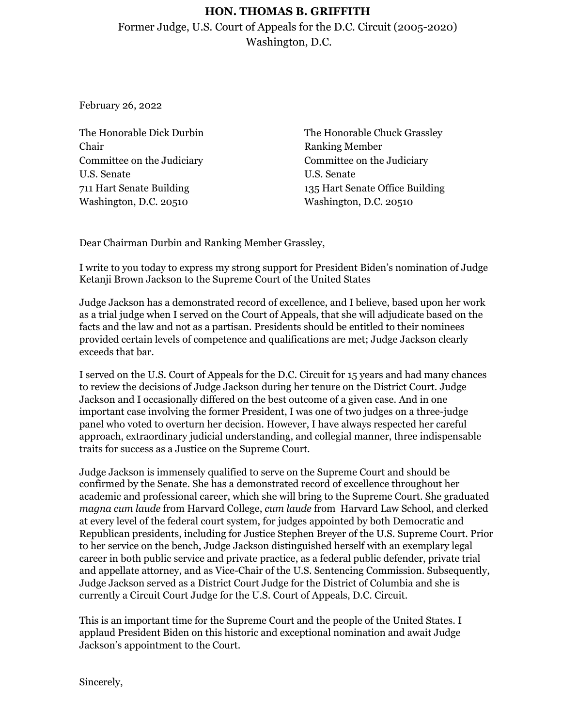## **HON. THOMAS B. GRIFFITH**

Former Judge, U.S. Court of Appeals for the D.C. Circuit (2005-2020) Washington, D.C.

February 26, 2022

The Honorable Dick Durbin Chair Committee on the Judiciary U.S. Senate 711 Hart Senate Building Washington, D.C. 20510

The Honorable Chuck Grassley Ranking Member Committee on the Judiciary U.S. Senate 135 Hart Senate Office Building Washington, D.C. 20510

Dear Chairman Durbin and Ranking Member Grassley,

I write to you today to express my strong support for President Biden's nomination of Judge Ketanji Brown Jackson to the Supreme Court of the United States

Judge Jackson has a demonstrated record of excellence, and I believe, based upon her work as a trial judge when I served on the Court of Appeals, that she will adjudicate based on the facts and the law and not as a partisan. Presidents should be entitled to their nominees provided certain levels of competence and qualifications are met; Judge Jackson clearly exceeds that bar.

I served on the U.S. Court of Appeals for the D.C. Circuit for 15 years and had many chances to review the decisions of Judge Jackson during her tenure on the District Court. Judge Jackson and I occasionally differed on the best outcome of a given case. And in one important case involving the former President, I was one of two judges on a three-judge panel who voted to overturn her decision. However, I have always respected her careful approach, extraordinary judicial understanding, and collegial manner, three indispensable traits for success as a Justice on the Supreme Court.

Judge Jackson is immensely qualified to serve on the Supreme Court and should be confirmed by the Senate. She has a demonstrated record of excellence throughout her academic and professional career, which she will bring to the Supreme Court. She graduated *magna cum laude* from Harvard College, *cum laude* from Harvard Law School, and clerked at every level of the federal court system, for judges appointed by both Democratic and Republican presidents, including for Justice Stephen Breyer of the U.S. Supreme Court. Prior to her service on the bench, Judge Jackson distinguished herself with an exemplary legal career in both public service and private practice, as a federal public defender, private trial and appellate attorney, and as Vice-Chair of the U.S. Sentencing Commission. Subsequently, Judge Jackson served as a District Court Judge for the District of Columbia and she is currently a Circuit Court Judge for the U.S. Court of Appeals, D.C. Circuit.

This is an important time for the Supreme Court and the people of the United States. I applaud President Biden on this historic and exceptional nomination and await Judge Jackson's appointment to the Court.

Sincerely,